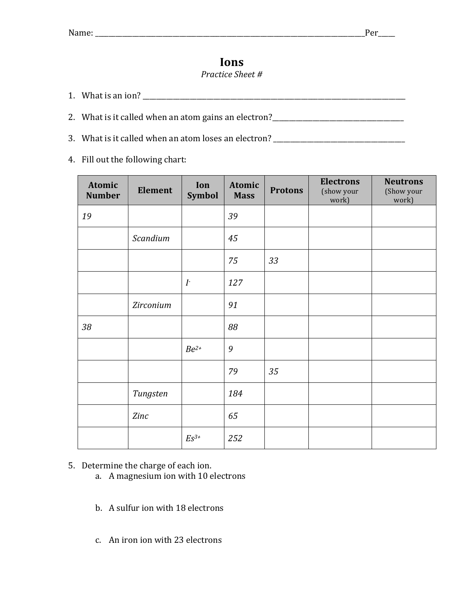## **Ions**

## *Practice Sheet #*

- 1. What is an ion? \_\_\_\_\_\_\_\_\_\_\_\_\_\_\_\_\_\_\_\_\_\_\_\_\_\_\_\_\_\_\_\_\_\_\_\_\_\_\_\_\_\_\_\_\_\_\_\_\_\_\_\_\_\_\_\_\_\_\_\_\_\_\_\_\_\_\_\_\_\_\_\_\_\_\_\_\_\_
- 2. What is it called when an atom gains an electron?\_\_\_\_\_\_\_\_\_\_\_\_\_\_\_\_\_\_\_\_\_\_\_\_\_\_\_\_\_
- 3. What is it called when an atom loses an electron?  $\frac{1}{\frac{1}{1-\frac{1}{1-\frac{1}{1-\frac{1}{1-\frac{1}{1-\frac{1}{1-\frac{1}{1-\frac{1}{1-\frac{1}{1-\frac{1}{1-\frac{1}{1-\frac{1}{1-\frac{1}{1-\frac{1}{1-\frac{1}{1-\frac{1}{1-\frac{1}{1-\frac{1}{1-\frac{1}{1-\frac{1}{1-\frac{1}{1-\frac{1}{1-\frac{1}{1-\frac{1}{1-\frac{1}{1-\frac{1}{1-\frac{1}{1$
- 4. Fill out the following chart:

| Atomic<br><b>Number</b> | <b>Element</b> | Ion<br><b>Symbol</b> | Atomic<br><b>Mass</b> | <b>Protons</b> | <b>Electrons</b><br>(show your<br>work) | <b>Neutrons</b><br>(Show your<br>work) |
|-------------------------|----------------|----------------------|-----------------------|----------------|-----------------------------------------|----------------------------------------|
| 19                      |                |                      | 39                    |                |                                         |                                        |
|                         | Scandium       |                      | 45                    |                |                                         |                                        |
|                         |                |                      | 75                    | 33             |                                         |                                        |
|                         |                | I <sup>2</sup>       | 127                   |                |                                         |                                        |
|                         | Zirconium      |                      | 91                    |                |                                         |                                        |
| 38                      |                |                      | 88                    |                |                                         |                                        |
|                         |                | $Be^{2+}$            | 9                     |                |                                         |                                        |
|                         |                |                      | 79                    | 35             |                                         |                                        |
|                         | Tungsten       |                      | 184                   |                |                                         |                                        |
|                         | Zinc           |                      | 65                    |                |                                         |                                        |
|                         |                | $Es^{3+}$            | 252                   |                |                                         |                                        |

## 5. Determine the charge of each ion.

- a. A magnesium ion with 10 electrons
- b. A sulfur ion with 18 electrons
- c. An iron ion with 23 electrons